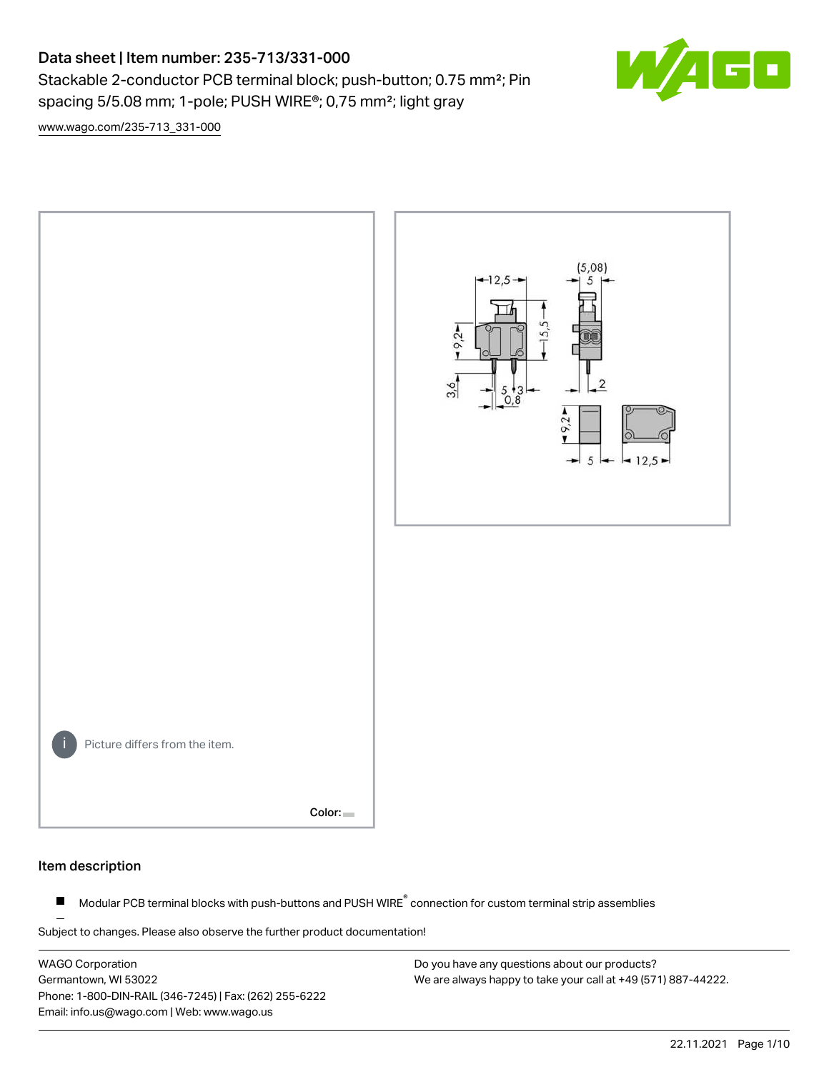## Data sheet | Item number: 235-713/331-000 Stackable 2-conductor PCB terminal block; push-button; 0.75 mm<sup>2</sup>; Pin spacing 5/5.08 mm; 1-pole; PUSH WIRE®; 0,75 mm²; light gray



[www.wago.com/235-713\\_331-000](http://www.wago.com/235-713_331-000)



#### Item description

Modular PCB terminal blocks with push-buttons and PUSH WIRE<sup>®</sup> connection for custom terminal strip assemblies  $\blacksquare$ 

Subject to changes. Please also observe the further product documentation!

WAGO Corporation Germantown, WI 53022 Phone: 1-800-DIN-RAIL (346-7245) | Fax: (262) 255-6222 Email: info.us@wago.com | Web: www.wago.us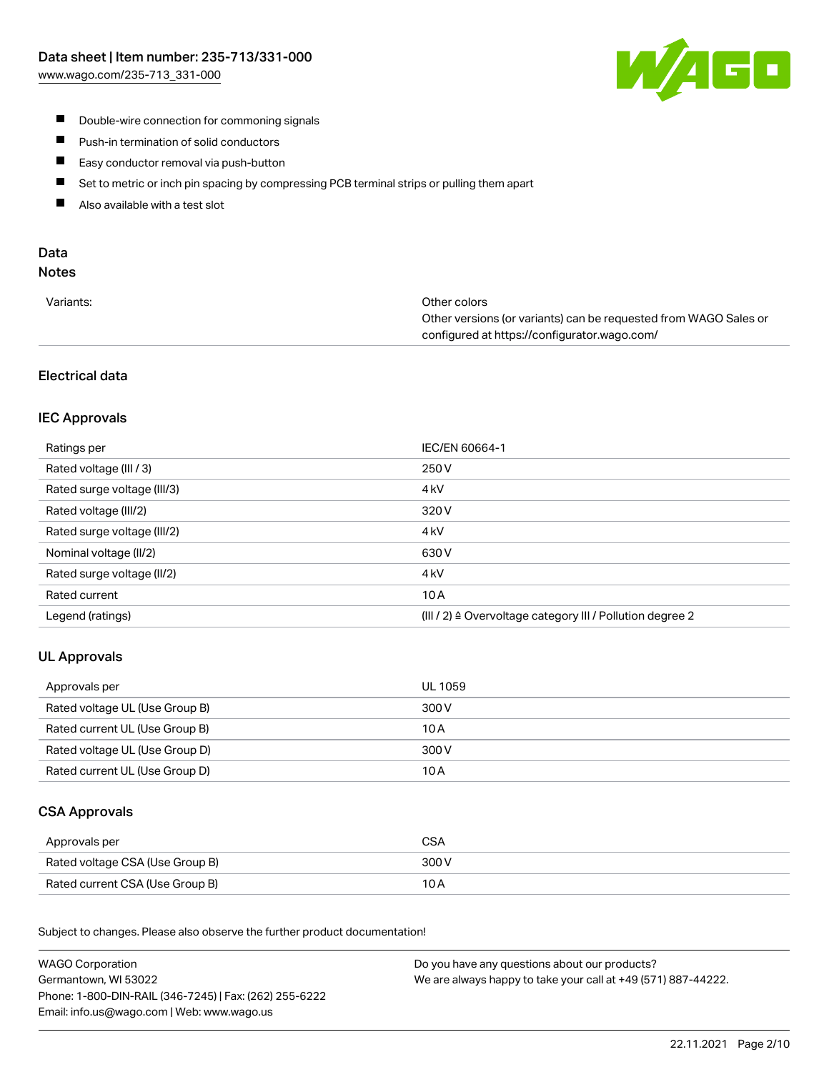

- **Double-wire connection for commoning signals**
- $\blacksquare$ Push-in termination of solid conductors
- Easy conductor removal via push-button  $\blacksquare$
- $\blacksquare$ Set to metric or inch pin spacing by compressing PCB terminal strips or pulling them apart
- $\blacksquare$ Also available with a test slot

# Data

### Notes

| Variants: | Other colors                                                     |
|-----------|------------------------------------------------------------------|
|           | Other versions (or variants) can be requested from WAGO Sales or |
|           | configured at https://configurator.wago.com/                     |

### Electrical data

### IEC Approvals

| Ratings per                 | IEC/EN 60664-1                                                       |
|-----------------------------|----------------------------------------------------------------------|
| Rated voltage (III / 3)     | 250 V                                                                |
| Rated surge voltage (III/3) | 4 <sub>k</sub> V                                                     |
| Rated voltage (III/2)       | 320 V                                                                |
| Rated surge voltage (III/2) | 4 <sub>k</sub> V                                                     |
| Nominal voltage (II/2)      | 630 V                                                                |
| Rated surge voltage (II/2)  | 4 <sub>k</sub> V                                                     |
| Rated current               | 10A                                                                  |
| Legend (ratings)            | (III / 2) $\triangleq$ Overvoltage category III / Pollution degree 2 |

### UL Approvals

| Approvals per                  | UL 1059 |
|--------------------------------|---------|
| Rated voltage UL (Use Group B) | 300 V   |
| Rated current UL (Use Group B) | 10 A    |
| Rated voltage UL (Use Group D) | 300 V   |
| Rated current UL (Use Group D) | 10 A    |

#### CSA Approvals

| Approvals per                   | CSA   |
|---------------------------------|-------|
| Rated voltage CSA (Use Group B) | 300 V |
| Rated current CSA (Use Group B) | 10 A  |

.<br>Subject to changes. Please also observe the further product documentation!

| <b>WAGO Corporation</b>                                | Do you have any questions about our products?                 |
|--------------------------------------------------------|---------------------------------------------------------------|
| Germantown, WI 53022                                   | We are always happy to take your call at +49 (571) 887-44222. |
| Phone: 1-800-DIN-RAIL (346-7245)   Fax: (262) 255-6222 |                                                               |
| Email: info.us@wago.com   Web: www.wago.us             |                                                               |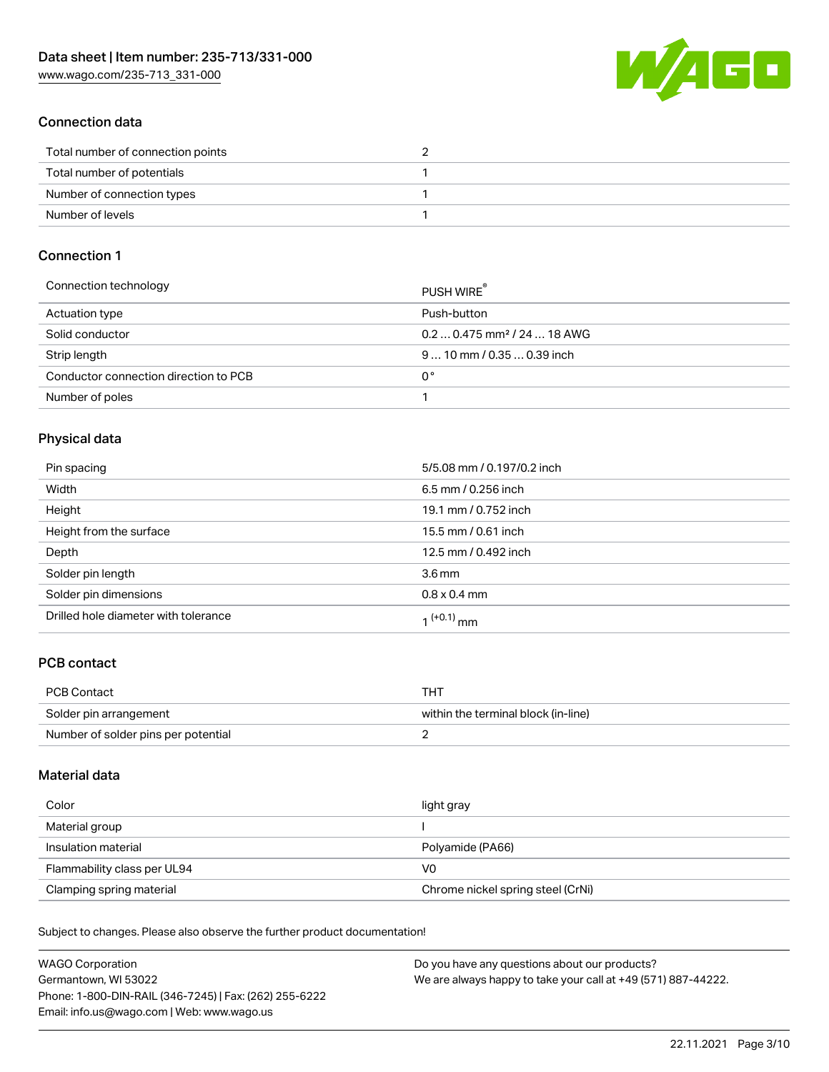

#### Connection data

| Total number of connection points |  |
|-----------------------------------|--|
| Total number of potentials        |  |
| Number of connection types        |  |
| Number of levels                  |  |

#### Connection 1

| Connection technology                 | PUSH WIRE                               |
|---------------------------------------|-----------------------------------------|
| Actuation type                        | Push-button                             |
| Solid conductor                       | $0.20.475$ mm <sup>2</sup> / 24  18 AWG |
| Strip length                          | $910$ mm $/0.350.39$ inch               |
| Conductor connection direction to PCB | 0°                                      |
| Number of poles                       |                                         |

### Physical data

| Pin spacing                          | 5/5.08 mm / 0.197/0.2 inch |
|--------------------------------------|----------------------------|
| Width                                | 6.5 mm / 0.256 inch        |
| Height                               | 19.1 mm / 0.752 inch       |
| Height from the surface              | 15.5 mm / 0.61 inch        |
| Depth                                | 12.5 mm / 0.492 inch       |
| Solder pin length                    | $3.6 \,\mathrm{mm}$        |
| Solder pin dimensions                | $0.8 \times 0.4$ mm        |
| Drilled hole diameter with tolerance | 1 <sup>(+0.1)</sup> mm     |

### PCB contact

| <b>PCB Contact</b>                  | THT                                 |
|-------------------------------------|-------------------------------------|
| Solder pin arrangement              | within the terminal block (in-line) |
| Number of solder pins per potential |                                     |

#### Material data

| Color                       | light gray                        |
|-----------------------------|-----------------------------------|
| Material group              |                                   |
| Insulation material         | Polyamide (PA66)                  |
| Flammability class per UL94 | V0                                |
| Clamping spring material    | Chrome nickel spring steel (CrNi) |

Subject to changes. Please also observe the further product documentation!

| <b>WAGO Corporation</b>                                | Do you have any questions about our products?                 |
|--------------------------------------------------------|---------------------------------------------------------------|
| Germantown, WI 53022                                   | We are always happy to take your call at +49 (571) 887-44222. |
| Phone: 1-800-DIN-RAIL (346-7245)   Fax: (262) 255-6222 |                                                               |
| Email: info.us@wago.com   Web: www.wago.us             |                                                               |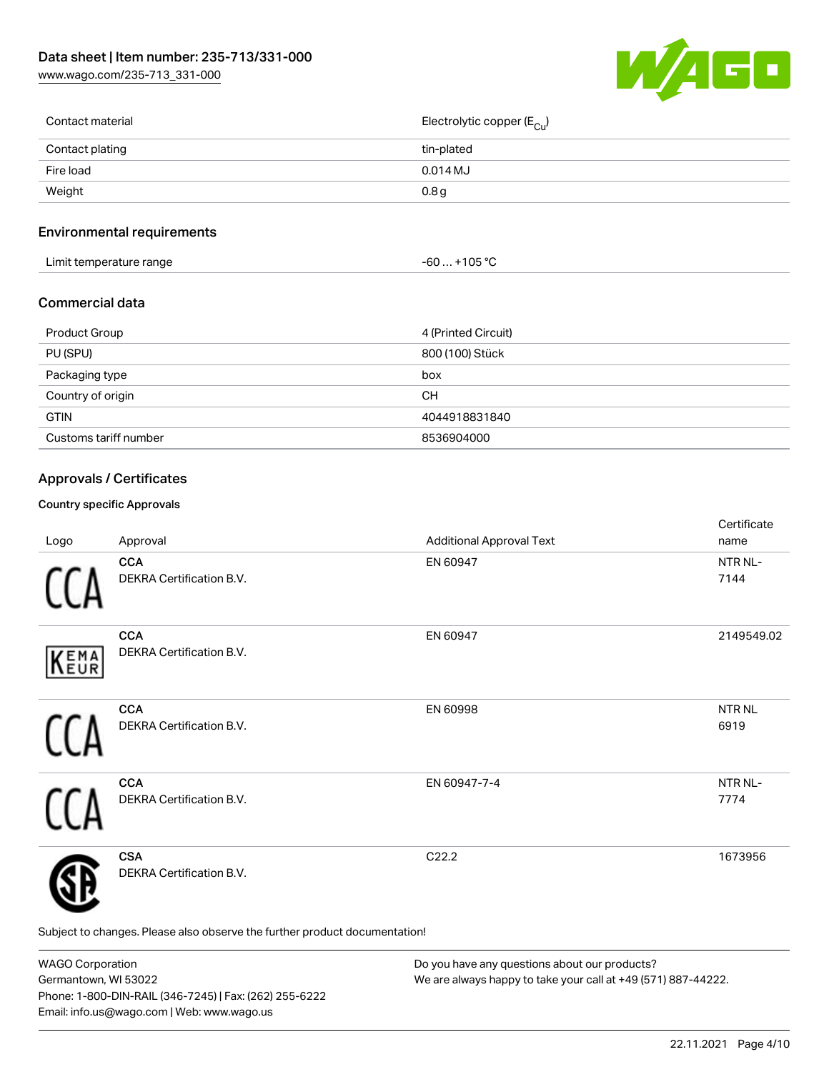[www.wago.com/235-713\\_331-000](http://www.wago.com/235-713_331-000)



| Contact material | Electrolytic copper (E <sub>Cu</sub> ) |
|------------------|----------------------------------------|
| Contact plating  | tin-plated                             |
| Fire load        | $0.014$ MJ                             |
| Weight           | 0.8 <sub>g</sub>                       |
|                  |                                        |

### Environmental requirements

| .<br>Limit temperature range<br>. | 105 °C<br>-60 |  |
|-----------------------------------|---------------|--|
|-----------------------------------|---------------|--|

#### Commercial data

| Product Group         | 4 (Printed Circuit) |
|-----------------------|---------------------|
| PU (SPU)              | 800 (100) Stück     |
| Packaging type        | box                 |
| Country of origin     | CН                  |
| <b>GTIN</b>           | 4044918831840       |
| Customs tariff number | 8536904000          |

### Approvals / Certificates

#### Country specific Approvals

| Logo | Approval                                                                   | <b>Additional Approval Text</b> | Certificate<br>name  |
|------|----------------------------------------------------------------------------|---------------------------------|----------------------|
|      | <b>CCA</b><br>DEKRA Certification B.V.                                     | EN 60947                        | NTR NL-<br>7144      |
| KEMA | <b>CCA</b><br><b>DEKRA Certification B.V.</b>                              | EN 60947                        | 2149549.02           |
|      | <b>CCA</b><br>DEKRA Certification B.V.                                     | EN 60998                        | <b>NTRNL</b><br>6919 |
|      | <b>CCA</b><br>DEKRA Certification B.V.                                     | EN 60947-7-4                    | NTR NL-<br>7774      |
|      | <b>CSA</b><br>DEKRA Certification B.V.                                     | C22.2                           | 1673956              |
|      | Subject to changes. Please also observe the further product documentation! |                                 |                      |

WAGO Corporation Germantown, WI 53022 Phone: 1-800-DIN-RAIL (346-7245) | Fax: (262) 255-6222 Email: info.us@wago.com | Web: www.wago.us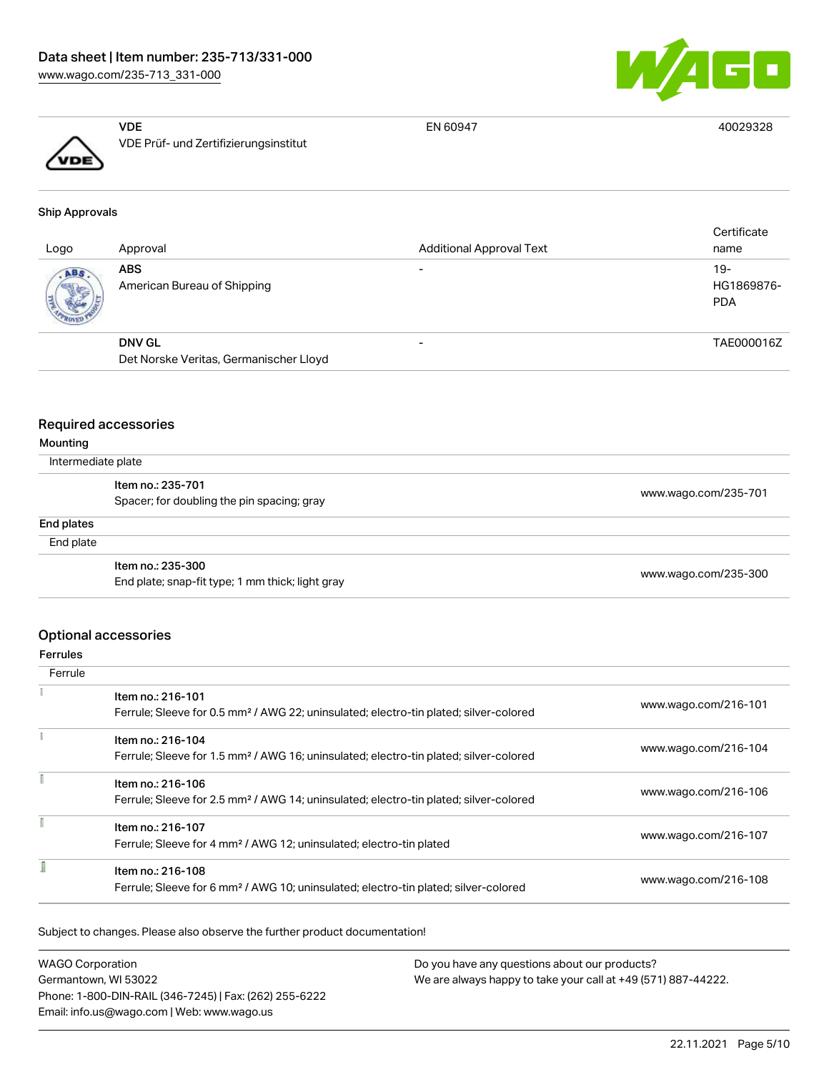



VDE VDE Prüf- und Zertifizierungsinstitut

EN 60947 40029328

## Ship Approvals

| Logo | Approval                                  | <b>Additional Approval Text</b> | Certificate<br>name               |
|------|-------------------------------------------|---------------------------------|-----------------------------------|
| ABS  | <b>ABS</b><br>American Bureau of Shipping | $\overline{\phantom{0}}$        | $19-$<br>HG1869876-<br><b>PDA</b> |
|      | <b>DNV GL</b>                             |                                 | TAE000016Z                        |
|      | Det Norske Veritas, Germanischer Lloyd    |                                 |                                   |

#### Required accessories

#### Mounting

Intermediate plate

|            | .                                                                     |                      |  |
|------------|-----------------------------------------------------------------------|----------------------|--|
|            | Item no.: 235-701<br>Spacer; for doubling the pin spacing; gray       | www.wago.com/235-701 |  |
| End plates |                                                                       |                      |  |
| End plate  |                                                                       |                      |  |
|            | Item no.: 235-300<br>End plate; snap-fit type; 1 mm thick; light gray | www.wago.com/235-300 |  |

#### Optional accessories

#### Ferrules

| Ferrule |                                                                                                                        |                      |
|---------|------------------------------------------------------------------------------------------------------------------------|----------------------|
|         | Item no.: 216-101<br>Ferrule; Sleeve for 0.5 mm <sup>2</sup> / AWG 22; uninsulated; electro-tin plated; silver-colored | www.wago.com/216-101 |
|         | Item no.: 216-104<br>Ferrule; Sleeve for 1.5 mm <sup>2</sup> / AWG 16; uninsulated; electro-tin plated; silver-colored | www.wago.com/216-104 |
|         | Item no.: 216-106<br>Ferrule; Sleeve for 2.5 mm <sup>2</sup> / AWG 14; uninsulated; electro-tin plated; silver-colored | www.wago.com/216-106 |
|         | Item no.: 216-107<br>Ferrule; Sleeve for 4 mm <sup>2</sup> / AWG 12; uninsulated; electro-tin plated                   | www.wago.com/216-107 |
|         | Item no.: 216-108<br>Ferrule; Sleeve for 6 mm <sup>2</sup> / AWG 10; uninsulated; electro-tin plated; silver-colored   | www.wago.com/216-108 |

Subject to changes. Please also observe the further product documentation!

| <b>WAGO Corporation</b>                                | Do you have any questions about our products?                 |
|--------------------------------------------------------|---------------------------------------------------------------|
| Germantown, WI 53022                                   | We are always happy to take your call at +49 (571) 887-44222. |
| Phone: 1-800-DIN-RAIL (346-7245)   Fax: (262) 255-6222 |                                                               |
| Email: info.us@wago.com   Web: www.wago.us             |                                                               |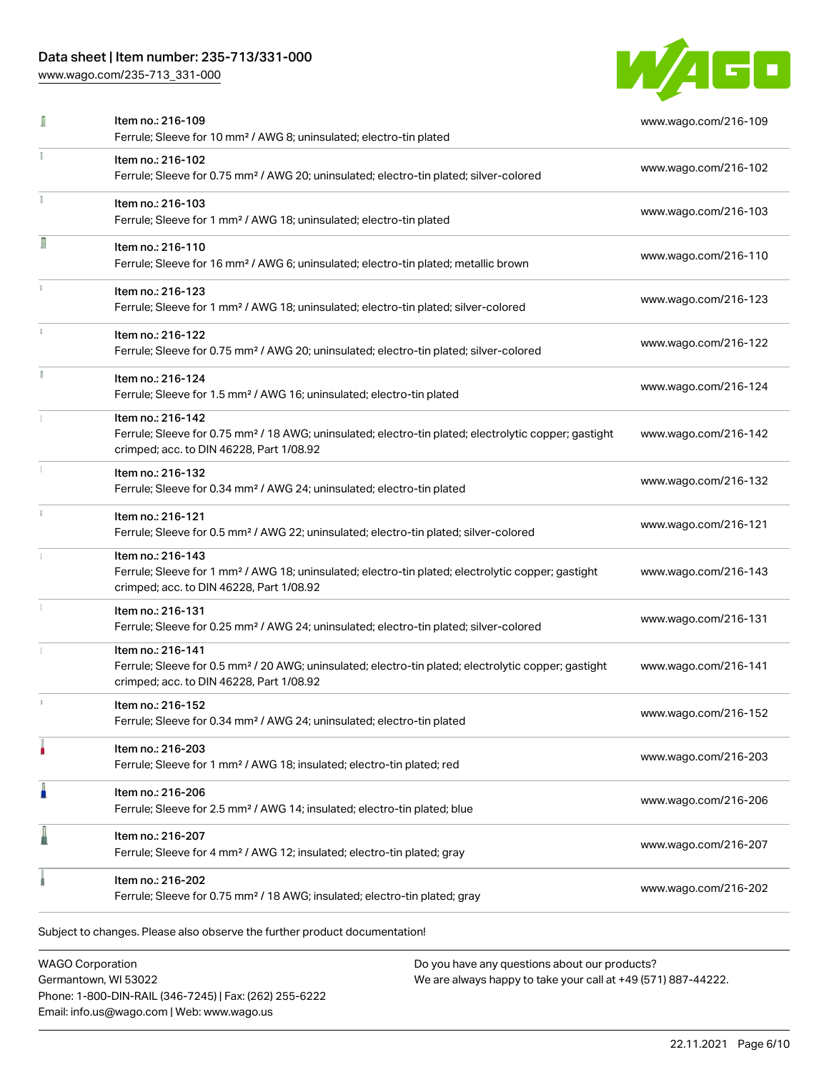### Data sheet | Item number: 235-713/331-000

[www.wago.com/235-713\\_331-000](http://www.wago.com/235-713_331-000)



|    | Item no.: 216-109<br>Ferrule; Sleeve for 10 mm <sup>2</sup> / AWG 8; uninsulated; electro-tin plated                                                                               | www.wago.com/216-109 |
|----|------------------------------------------------------------------------------------------------------------------------------------------------------------------------------------|----------------------|
|    | Item no.: 216-102<br>Ferrule; Sleeve for 0.75 mm <sup>2</sup> / AWG 20; uninsulated; electro-tin plated; silver-colored                                                            | www.wago.com/216-102 |
|    | Item no.: 216-103<br>Ferrule; Sleeve for 1 mm <sup>2</sup> / AWG 18; uninsulated; electro-tin plated                                                                               | www.wago.com/216-103 |
| I  | Item no.: 216-110<br>Ferrule; Sleeve for 16 mm <sup>2</sup> / AWG 6; uninsulated; electro-tin plated; metallic brown                                                               | www.wago.com/216-110 |
|    | Item no.: 216-123<br>Ferrule; Sleeve for 1 mm <sup>2</sup> / AWG 18; uninsulated; electro-tin plated; silver-colored                                                               | www.wago.com/216-123 |
|    | Item no.: 216-122<br>Ferrule; Sleeve for 0.75 mm <sup>2</sup> / AWG 20; uninsulated; electro-tin plated; silver-colored                                                            | www.wago.com/216-122 |
| I. | Item no.: 216-124<br>Ferrule; Sleeve for 1.5 mm <sup>2</sup> / AWG 16; uninsulated; electro-tin plated                                                                             | www.wago.com/216-124 |
|    | Item no.: 216-142<br>Ferrule; Sleeve for 0.75 mm <sup>2</sup> / 18 AWG; uninsulated; electro-tin plated; electrolytic copper; gastight<br>crimped; acc. to DIN 46228, Part 1/08.92 | www.wago.com/216-142 |
|    | Item no.: 216-132<br>Ferrule; Sleeve for 0.34 mm <sup>2</sup> / AWG 24; uninsulated; electro-tin plated                                                                            | www.wago.com/216-132 |
|    | Item no.: 216-121<br>Ferrule; Sleeve for 0.5 mm <sup>2</sup> / AWG 22; uninsulated; electro-tin plated; silver-colored                                                             | www.wago.com/216-121 |
|    | Item no.: 216-143<br>Ferrule; Sleeve for 1 mm <sup>2</sup> / AWG 18; uninsulated; electro-tin plated; electrolytic copper; gastight<br>crimped; acc. to DIN 46228, Part 1/08.92    | www.wago.com/216-143 |
|    | Item no.: 216-131<br>Ferrule; Sleeve for 0.25 mm <sup>2</sup> / AWG 24; uninsulated; electro-tin plated; silver-colored                                                            | www.wago.com/216-131 |
|    | Item no.: 216-141<br>Ferrule; Sleeve for 0.5 mm <sup>2</sup> / 20 AWG; uninsulated; electro-tin plated; electrolytic copper; gastight<br>crimped; acc. to DIN 46228, Part 1/08.92  | www.wago.com/216-141 |
|    | Item no.: 216-152<br>Ferrule; Sleeve for 0.34 mm <sup>2</sup> / AWG 24; uninsulated; electro-tin plated                                                                            | www.wago.com/216-152 |
|    | Item no.: 216-203<br>Ferrule; Sleeve for 1 mm <sup>2</sup> / AWG 18; insulated; electro-tin plated; red                                                                            | www.wago.com/216-203 |
| n  | Item no.: 216-206<br>Ferrule; Sleeve for 2.5 mm <sup>2</sup> / AWG 14; insulated; electro-tin plated; blue                                                                         | www.wago.com/216-206 |
|    | Item no.: 216-207<br>Ferrule; Sleeve for 4 mm <sup>2</sup> / AWG 12; insulated; electro-tin plated; gray                                                                           | www.wago.com/216-207 |
|    | Item no.: 216-202<br>Ferrule; Sleeve for 0.75 mm <sup>2</sup> / 18 AWG; insulated; electro-tin plated; gray                                                                        | www.wago.com/216-202 |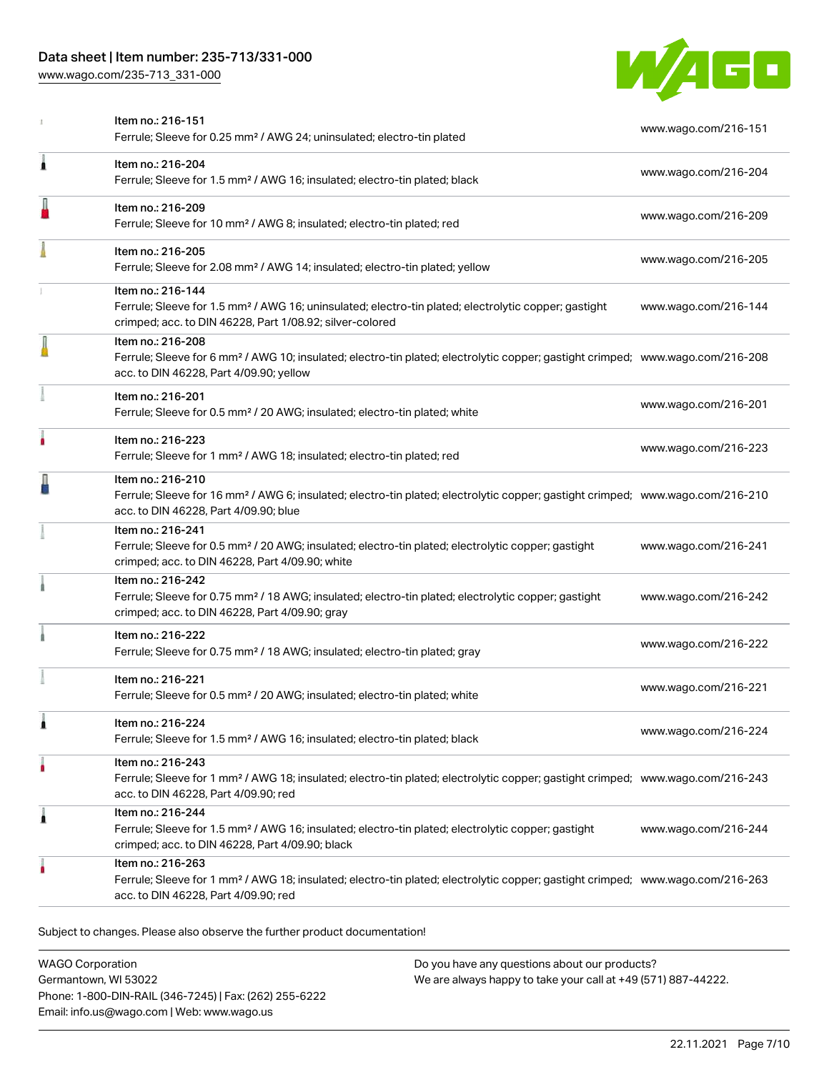### Data sheet | Item number: 235-713/331-000

[www.wago.com/235-713\\_331-000](http://www.wago.com/235-713_331-000)



|   | Item no.: 216-151<br>Ferrule; Sleeve for 0.25 mm <sup>2</sup> / AWG 24; uninsulated; electro-tin plated                                                                                                    | www.wago.com/216-151 |
|---|------------------------------------------------------------------------------------------------------------------------------------------------------------------------------------------------------------|----------------------|
| 1 | Item no.: 216-204<br>Ferrule; Sleeve for 1.5 mm <sup>2</sup> / AWG 16; insulated; electro-tin plated; black                                                                                                | www.wago.com/216-204 |
|   | Item no.: 216-209<br>Ferrule; Sleeve for 10 mm <sup>2</sup> / AWG 8; insulated; electro-tin plated; red                                                                                                    | www.wago.com/216-209 |
|   | Item no.: 216-205<br>Ferrule; Sleeve for 2.08 mm <sup>2</sup> / AWG 14; insulated; electro-tin plated; yellow                                                                                              | www.wago.com/216-205 |
|   | Item no.: 216-144<br>Ferrule; Sleeve for 1.5 mm <sup>2</sup> / AWG 16; uninsulated; electro-tin plated; electrolytic copper; gastight<br>crimped; acc. to DIN 46228, Part 1/08.92; silver-colored          | www.wago.com/216-144 |
|   | Item no.: 216-208<br>Ferrule; Sleeve for 6 mm <sup>2</sup> / AWG 10; insulated; electro-tin plated; electrolytic copper; gastight crimped; www.wago.com/216-208<br>acc. to DIN 46228, Part 4/09.90; yellow |                      |
|   | Item no.: 216-201<br>Ferrule; Sleeve for 0.5 mm <sup>2</sup> / 20 AWG; insulated; electro-tin plated; white                                                                                                | www.wago.com/216-201 |
| ۸ | Item no.: 216-223<br>Ferrule; Sleeve for 1 mm <sup>2</sup> / AWG 18; insulated; electro-tin plated; red                                                                                                    | www.wago.com/216-223 |
|   | Item no.: 216-210<br>Ferrule; Sleeve for 16 mm <sup>2</sup> / AWG 6; insulated; electro-tin plated; electrolytic copper; gastight crimped; www.wago.com/216-210<br>acc. to DIN 46228, Part 4/09.90; blue   |                      |
|   | Item no.: 216-241<br>Ferrule; Sleeve for 0.5 mm <sup>2</sup> / 20 AWG; insulated; electro-tin plated; electrolytic copper; gastight<br>crimped; acc. to DIN 46228, Part 4/09.90; white                     | www.wago.com/216-241 |
|   | Item no.: 216-242<br>Ferrule; Sleeve for 0.75 mm <sup>2</sup> / 18 AWG; insulated; electro-tin plated; electrolytic copper; gastight<br>crimped; acc. to DIN 46228, Part 4/09.90; gray                     | www.wago.com/216-242 |
|   | Item no.: 216-222<br>Ferrule; Sleeve for 0.75 mm <sup>2</sup> / 18 AWG; insulated; electro-tin plated; gray                                                                                                | www.wago.com/216-222 |
|   | Item no.: 216-221<br>Ferrule; Sleeve for 0.5 mm <sup>2</sup> / 20 AWG; insulated; electro-tin plated; white                                                                                                | www.wago.com/216-221 |
| 1 | Item no.: 216-224<br>Ferrule; Sleeve for 1.5 mm <sup>2</sup> / AWG 16; insulated; electro-tin plated; black                                                                                                | www.wago.com/216-224 |
| ۸ | Item no.: 216-243<br>Ferrule; Sleeve for 1 mm <sup>2</sup> / AWG 18; insulated; electro-tin plated; electrolytic copper; gastight crimped; www.wago.com/216-243<br>acc. to DIN 46228, Part 4/09.90; red    |                      |
| 1 | Item no.: 216-244<br>Ferrule; Sleeve for 1.5 mm <sup>2</sup> / AWG 16; insulated; electro-tin plated; electrolytic copper; gastight<br>crimped; acc. to DIN 46228, Part 4/09.90; black                     | www.wago.com/216-244 |
|   | Item no.: 216-263<br>Ferrule; Sleeve for 1 mm <sup>2</sup> / AWG 18; insulated; electro-tin plated; electrolytic copper; gastight crimped; www.wago.com/216-263<br>acc. to DIN 46228, Part 4/09.90; red    |                      |

WAGO Corporation Germantown, WI 53022 Phone: 1-800-DIN-RAIL (346-7245) | Fax: (262) 255-6222 Email: info.us@wago.com | Web: www.wago.us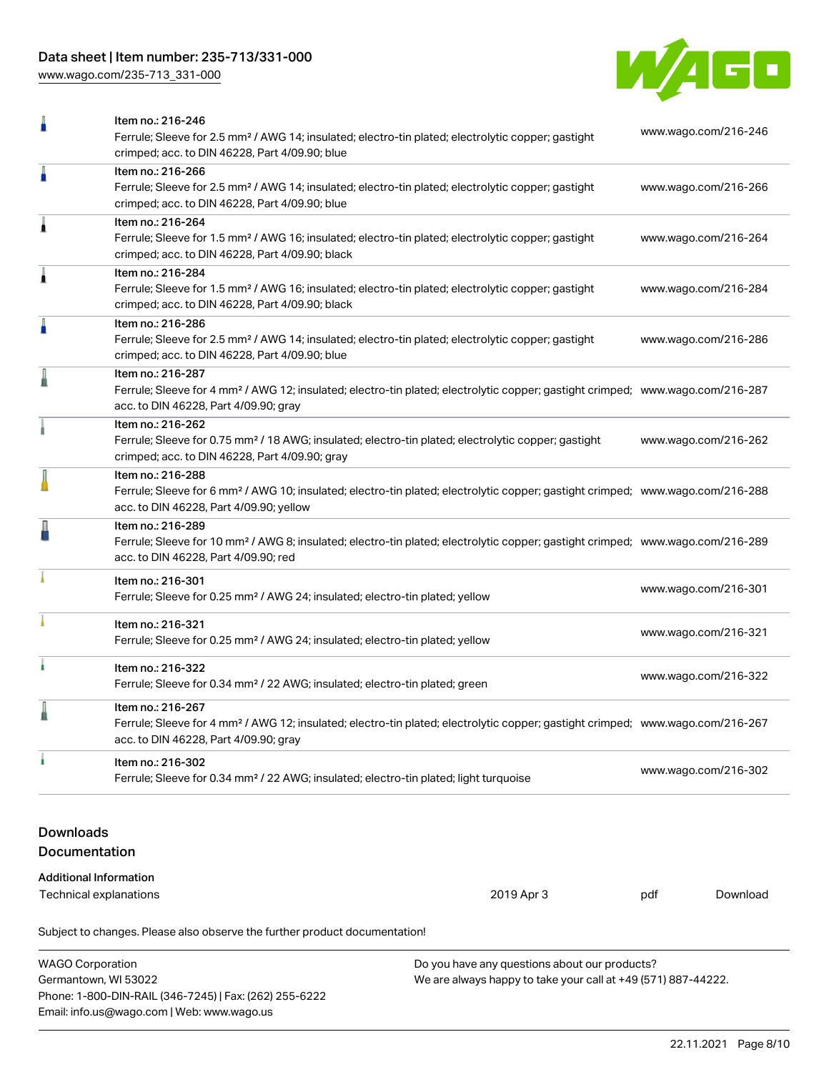### Data sheet | Item number: 235-713/331-000

[www.wago.com/235-713\\_331-000](http://www.wago.com/235-713_331-000)

WAGO Corporation Germantown, WI 53022

Phone: 1-800-DIN-RAIL (346-7245) | Fax: (262) 255-6222

Email: info.us@wago.com | Web: www.wago.us



| ñ                                                       | Item no.: 216-246<br>Ferrule; Sleeve for 2.5 mm <sup>2</sup> / AWG 14; insulated; electro-tin plated; electrolytic copper; gastight<br>crimped; acc. to DIN 46228, Part 4/09.90; blue                      | www.wago.com/216-246 |          |
|---------------------------------------------------------|------------------------------------------------------------------------------------------------------------------------------------------------------------------------------------------------------------|----------------------|----------|
| Å                                                       | Item no.: 216-266<br>Ferrule; Sleeve for 2.5 mm <sup>2</sup> / AWG 14; insulated; electro-tin plated; electrolytic copper; gastight<br>crimped; acc. to DIN 46228, Part 4/09.90; blue                      | www.wago.com/216-266 |          |
| Â                                                       | Item no.: 216-264<br>Ferrule; Sleeve for 1.5 mm <sup>2</sup> / AWG 16; insulated; electro-tin plated; electrolytic copper; gastight<br>crimped; acc. to DIN 46228, Part 4/09.90; black                     | www.wago.com/216-264 |          |
| Â                                                       | Item no.: 216-284<br>Ferrule; Sleeve for 1.5 mm <sup>2</sup> / AWG 16; insulated; electro-tin plated; electrolytic copper; gastight<br>crimped; acc. to DIN 46228, Part 4/09.90; black                     | www.wago.com/216-284 |          |
| Å                                                       | Item no.: 216-286<br>Ferrule; Sleeve for 2.5 mm <sup>2</sup> / AWG 14; insulated; electro-tin plated; electrolytic copper; gastight<br>crimped; acc. to DIN 46228, Part 4/09.90; blue                      | www.wago.com/216-286 |          |
|                                                         | Item no.: 216-287<br>Ferrule; Sleeve for 4 mm <sup>2</sup> / AWG 12; insulated; electro-tin plated; electrolytic copper; gastight crimped; www.wago.com/216-287<br>acc. to DIN 46228, Part 4/09.90; gray   |                      |          |
|                                                         | Item no.: 216-262<br>Ferrule; Sleeve for 0.75 mm <sup>2</sup> / 18 AWG; insulated; electro-tin plated; electrolytic copper; gastight<br>crimped; acc. to DIN 46228, Part 4/09.90; gray                     | www.wago.com/216-262 |          |
|                                                         | Item no.: 216-288<br>Ferrule; Sleeve for 6 mm <sup>2</sup> / AWG 10; insulated; electro-tin plated; electrolytic copper; gastight crimped; www.wago.com/216-288<br>acc. to DIN 46228, Part 4/09.90; yellow |                      |          |
|                                                         | Item no.: 216-289<br>Ferrule; Sleeve for 10 mm <sup>2</sup> / AWG 8; insulated; electro-tin plated; electrolytic copper; gastight crimped; www.wago.com/216-289<br>acc. to DIN 46228, Part 4/09.90; red    |                      |          |
|                                                         | Item no.: 216-301<br>Ferrule; Sleeve for 0.25 mm <sup>2</sup> / AWG 24; insulated; electro-tin plated; yellow                                                                                              | www.wago.com/216-301 |          |
|                                                         | Item no.: 216-321<br>Ferrule; Sleeve for 0.25 mm <sup>2</sup> / AWG 24; insulated; electro-tin plated; yellow                                                                                              | www.wago.com/216-321 |          |
| ۸                                                       | Item no.: 216-322<br>Ferrule; Sleeve for 0.34 mm <sup>2</sup> / 22 AWG; insulated; electro-tin plated; green                                                                                               | www.wago.com/216-322 |          |
|                                                         | Item no.: 216-267<br>Ferrule; Sleeve for 4 mm <sup>2</sup> / AWG 12; insulated; electro-tin plated; electrolytic copper; gastight crimped; www.wago.com/216-267<br>acc. to DIN 46228, Part 4/09.90; gray   |                      |          |
|                                                         | Item no.: 216-302<br>Ferrule; Sleeve for 0.34 mm <sup>2</sup> / 22 AWG; insulated; electro-tin plated; light turquoise                                                                                     | www.wago.com/216-302 |          |
| <b>Downloads</b><br>Documentation                       |                                                                                                                                                                                                            |                      |          |
| <b>Additional Information</b><br>Technical explanations | 2019 Apr 3                                                                                                                                                                                                 | pdf                  | Download |
|                                                         | Subject to changes. Please also observe the further product documentation!                                                                                                                                 |                      |          |

Do you have any questions about our products?

We are always happy to take your call at +49 (571) 887-44222.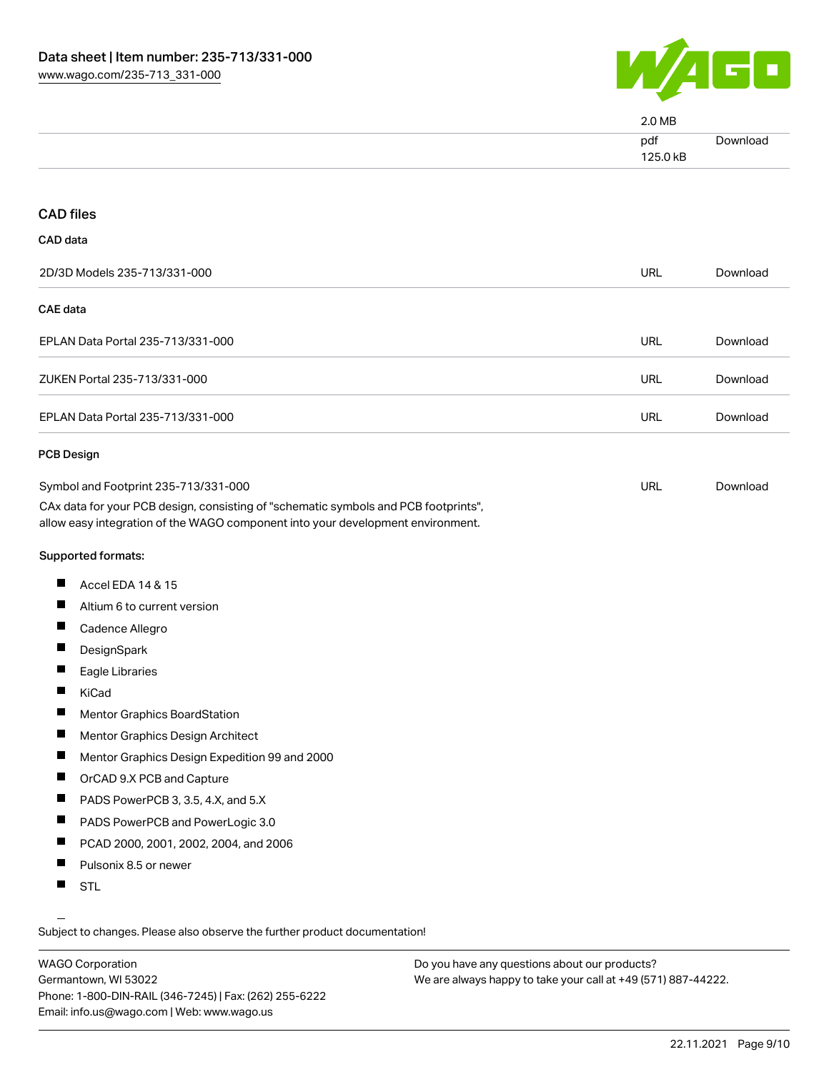

|                                                                                                                                                                        | 2.0 MB          |          |
|------------------------------------------------------------------------------------------------------------------------------------------------------------------------|-----------------|----------|
|                                                                                                                                                                        | pdf<br>125.0 kB | Download |
|                                                                                                                                                                        |                 |          |
| <b>CAD files</b>                                                                                                                                                       |                 |          |
| CAD data                                                                                                                                                               |                 |          |
| 2D/3D Models 235-713/331-000                                                                                                                                           | <b>URL</b>      | Download |
| <b>CAE</b> data                                                                                                                                                        |                 |          |
| EPLAN Data Portal 235-713/331-000                                                                                                                                      | URL             | Download |
| ZUKEN Portal 235-713/331-000                                                                                                                                           | <b>URL</b>      | Download |
| EPLAN Data Portal 235-713/331-000                                                                                                                                      | <b>URL</b>      | Download |
| <b>PCB Design</b>                                                                                                                                                      |                 |          |
| Symbol and Footprint 235-713/331-000                                                                                                                                   | <b>URL</b>      | Download |
| CAx data for your PCB design, consisting of "schematic symbols and PCB footprints",<br>allow easy integration of the WAGO component into your development environment. |                 |          |
| Supported formats:                                                                                                                                                     |                 |          |
| ш<br>Accel EDA 14 & 15                                                                                                                                                 |                 |          |
| L<br>Altium 6 to current version                                                                                                                                       |                 |          |
| ш<br>Cadence Allegro                                                                                                                                                   |                 |          |
| ш<br>DesignSpark                                                                                                                                                       |                 |          |
| Eagle Libraries                                                                                                                                                        |                 |          |
| KiCad                                                                                                                                                                  |                 |          |
| Mentor Graphics BoardStation                                                                                                                                           |                 |          |
| ш<br>Mentor Graphics Design Architect                                                                                                                                  |                 |          |
| ш<br>Mentor Graphics Design Expedition 99 and 2000                                                                                                                     |                 |          |
| ш<br>OrCAD 9.X PCB and Capture                                                                                                                                         |                 |          |
| ш<br>PADS PowerPCB 3, 3.5, 4.X, and 5.X                                                                                                                                |                 |          |
| ш<br>PADS PowerPCB and PowerLogic 3.0                                                                                                                                  |                 |          |
| Ш<br>PCAD 2000, 2001, 2002, 2004, and 2006                                                                                                                             |                 |          |
| ш<br>Pulsonix 8.5 or newer                                                                                                                                             |                 |          |
| ш<br><b>STL</b>                                                                                                                                                        |                 |          |

Subject to changes. Please also observe the further product documentation!

WAGO Corporation Germantown, WI 53022 Phone: 1-800-DIN-RAIL (346-7245) | Fax: (262) 255-6222 Email: info.us@wago.com | Web: www.wago.us